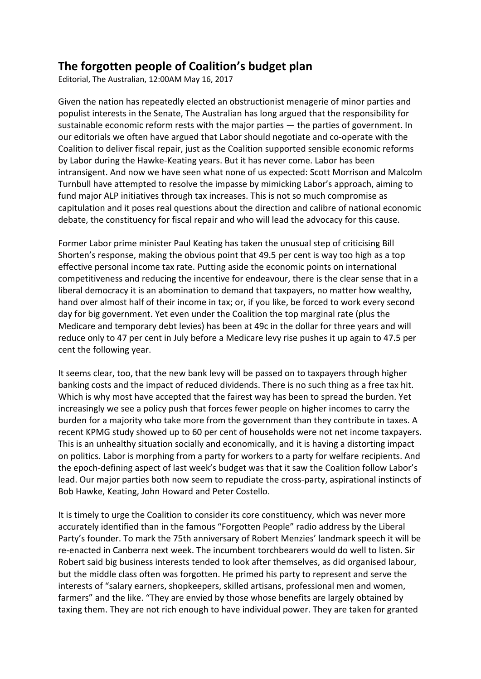## **The forgotten people of Coalition's budget plan**

Editorial, The Australian, 12:00AM May 16, 2017

Given the nation has repeatedly elected an obstructionist menagerie of minor parties and populist interests in the Senate, The Australian has long argued that the responsibility for sustainable economic reform rests with the major parties — the parties of government. In our editorials we often have argued that Labor should negotiate and co-operate with the Coalition to deliver fiscal repair, just as the Coalition supported sensible economic reforms by Labor during the Hawke-Keating years. But it has never come. Labor has been intransigent. And now we have seen what none of us expected: Scott Morrison and Malcolm Turnbull have attempted to resolve the impasse by mimicking Labor's approach, aiming to fund major ALP initiatives through tax increases. This is not so much compromise as capitulation and it poses real questions about the direction and calibre of national economic debate, the constituency for fiscal repair and who will lead the advocacy for this cause.

Former Labor prime minister Paul Keating has taken the unusual step of criticising Bill Shorten's response, making the obvious point that 49.5 per cent is way too high as a top effective personal income tax rate. Putting aside the economic points on international competitiveness and reducing the incentive for endeavour, there is the clear sense that in a liberal democracy it is an abomination to demand that taxpayers, no matter how wealthy, hand over almost half of their income in tax; or, if you like, be forced to work every second day for big government. Yet even under the Coalition the top marginal rate (plus the Medicare and temporary debt levies) has been at 49c in the dollar for three years and will reduce only to 47 per cent in July before a Medicare levy rise pushes it up again to 47.5 per cent the following year.

It seems clear, too, that the new bank levy will be passed on to taxpayers through higher banking costs and the impact of reduced dividends. There is no such thing as a free tax hit. Which is why most have accepted that the fairest way has been to spread the burden. Yet increasingly we see a policy push that forces fewer people on higher incomes to carry the burden for a majority who take more from the government than they contribute in taxes. A recent KPMG study showed up to 60 per cent of households were not net income taxpayers. This is an unhealthy situation socially and economically, and it is having a distorting impact on politics. Labor is morphing from a party for workers to a party for welfare recipients. And the epoch-defining aspect of last week's budget was that it saw the Coalition follow Labor's lead. Our major parties both now seem to repudiate the cross-party, aspirational instincts of Bob Hawke, Keating, John Howard and Peter Costello.

It is timely to urge the Coalition to consider its core constituency, which was never more accurately identified than in the famous "Forgotten People" radio address by the Liberal Party's founder. To mark the 75th anniversary of Robert Menzies' landmark speech it will be re-enacted in Canberra next week. The incumbent torchbearers would do well to listen. Sir Robert said big business interests tended to look after themselves, as did organised labour, but the middle class often was forgotten. He primed his party to represent and serve the interests of "salary earners, shopkeepers, skilled artisans, professional men and women, farmers" and the like. "They are envied by those whose benefits are largely obtained by taxing them. They are not rich enough to have individual power. They are taken for granted